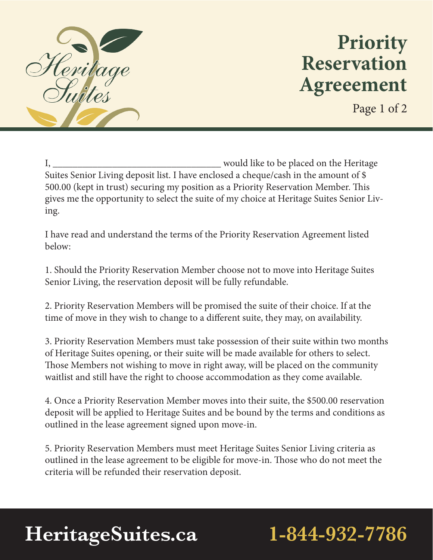

## **Priority Reservation Agreeement**

Page 1 of 2

I, \_\_\_\_\_\_\_\_\_\_\_\_\_\_\_\_\_\_\_\_\_\_\_\_\_\_\_\_\_\_\_\_\_\_ would like to be placed on the Heritage Suites Senior Living deposit list. I have enclosed a cheque/cash in the amount of \$ 500.00 (kept in trust) securing my position as a Priority Reservation Member. This gives me the opportunity to select the suite of my choice at Heritage Suites Senior Living.

I have read and understand the terms of the Priority Reservation Agreement listed below:

1. Should the Priority Reservation Member choose not to move into Heritage Suites Senior Living, the reservation deposit will be fully refundable.

2. Priority Reservation Members will be promised the suite of their choice. If at the time of move in they wish to change to a different suite, they may, on availability.

3. Priority Reservation Members must take possession of their suite within two months of Heritage Suites opening, or their suite will be made available for others to select. Those Members not wishing to move in right away, will be placed on the community waitlist and still have the right to choose accommodation as they come available.

4. Once a Priority Reservation Member moves into their suite, the \$500.00 reservation deposit will be applied to Heritage Suites and be bound by the terms and conditions as outlined in the lease agreement signed upon move-in.

5. Priority Reservation Members must meet Heritage Suites Senior Living criteria as outlined in the lease agreement to be eligible for move-in. Those who do not meet the criteria will be refunded their reservation deposit.

# **HeritageSuites.ca 1-844-932-7786**